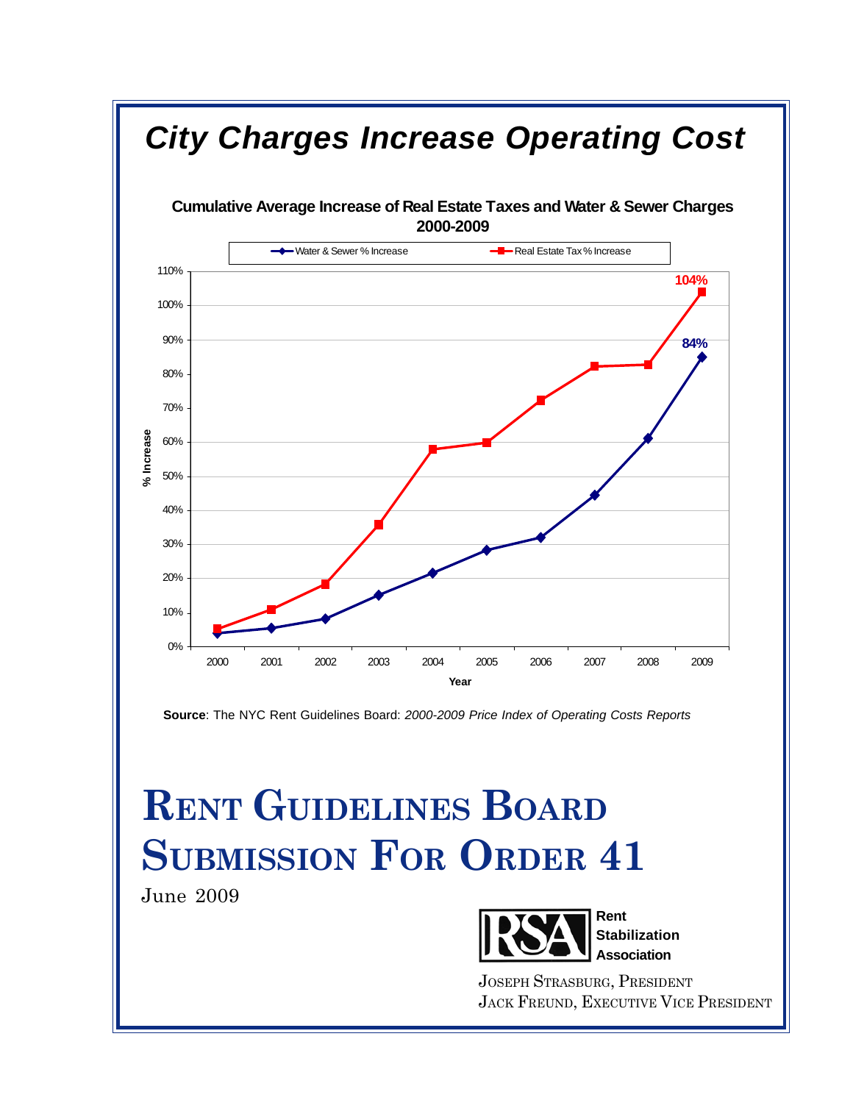

**Source**: The NYC Rent Guidelines Board: *2000-2009 Price Index of Operating Costs Reports*

# **RENT GUIDELINES BOARD SUBMISSION FOR ORDER 41**

June 2009



JOSEPH STRASBURG, PRESIDENT JACK FREUND, EXECUTIVE VICE PRESIDENT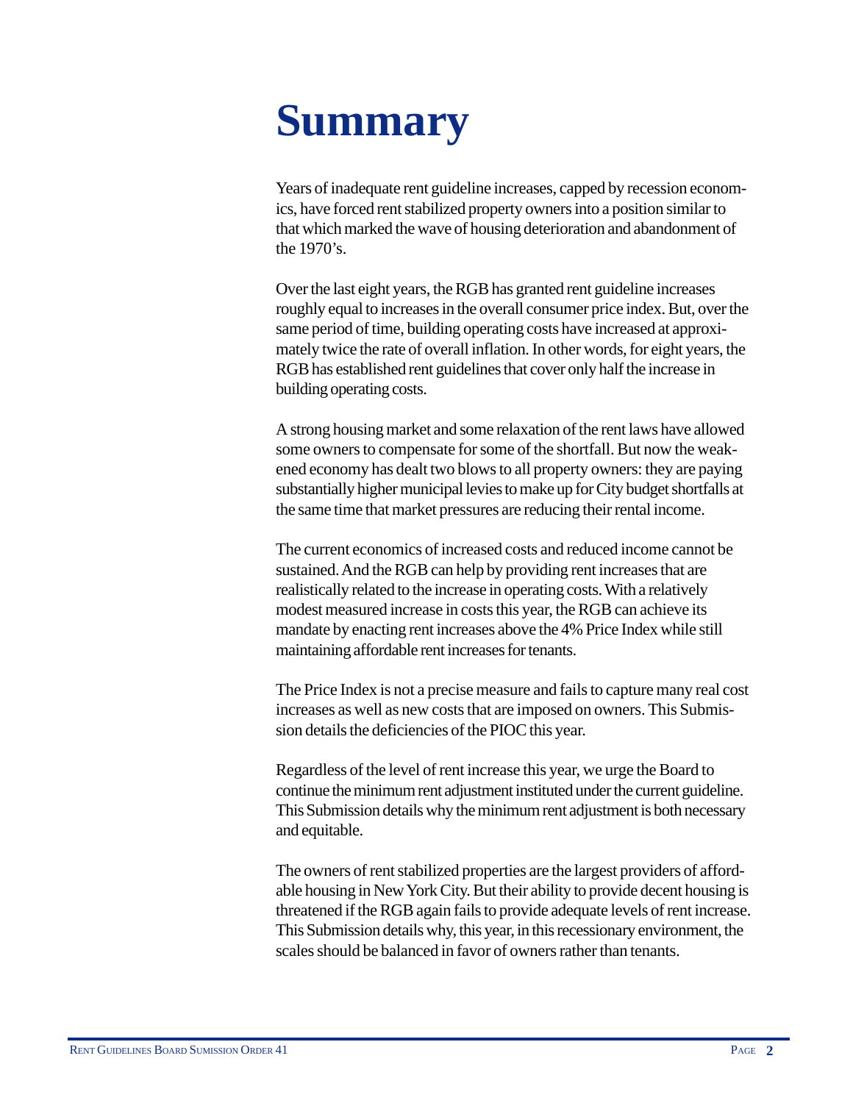# **Summary**

Years of inadequate rent guideline increases, capped by recession economics, have forced rent stabilized property owners into a position similar to that which marked the wave of housing deterioration and abandonment of the 1970's.

Over the last eight years, the RGB has granted rent guideline increases roughly equal to increases in the overall consumer price index. But, over the same period of time, building operating costs have increased at approximately twice the rate of overall inflation. In other words, for eight years, the RGB has established rent guidelines that cover only half the increase in building operating costs.

A strong housing market and some relaxation of the rent laws have allowed some owners to compensate for some of the shortfall. But now the weakened economy has dealt two blows to all property owners: they are paying substantially higher municipal levies to make up for City budget shortfalls at the same time that market pressures are reducing their rental income.

The current economics of increased costs and reduced income cannot be sustained. And the RGB can help by providing rent increases that are realistically related to the increase in operating costs. With a relatively modest measured increase in costs this year, the RGB can achieve its mandate by enacting rent increases above the 4% Price Index while still maintaining affordable rent increases for tenants.

The Price Index is not a precise measure and fails to capture many real cost increases as well as new costs that are imposed on owners. This Submission details the deficiencies of the PIOC this year.

Regardless of the level of rent increase this year, we urge the Board to continue the minimum rent adjustment instituted under the current guideline. This Submission details why the minimum rent adjustment is both necessary and equitable.

The owners of rent stabilized properties are the largest providers of affordable housing in New York City. But their ability to provide decent housing is threatened if the RGB again fails to provide adequate levels of rent increase. This Submission details why, this year, in this recessionary environment, the scales should be balanced in favor of owners rather than tenants.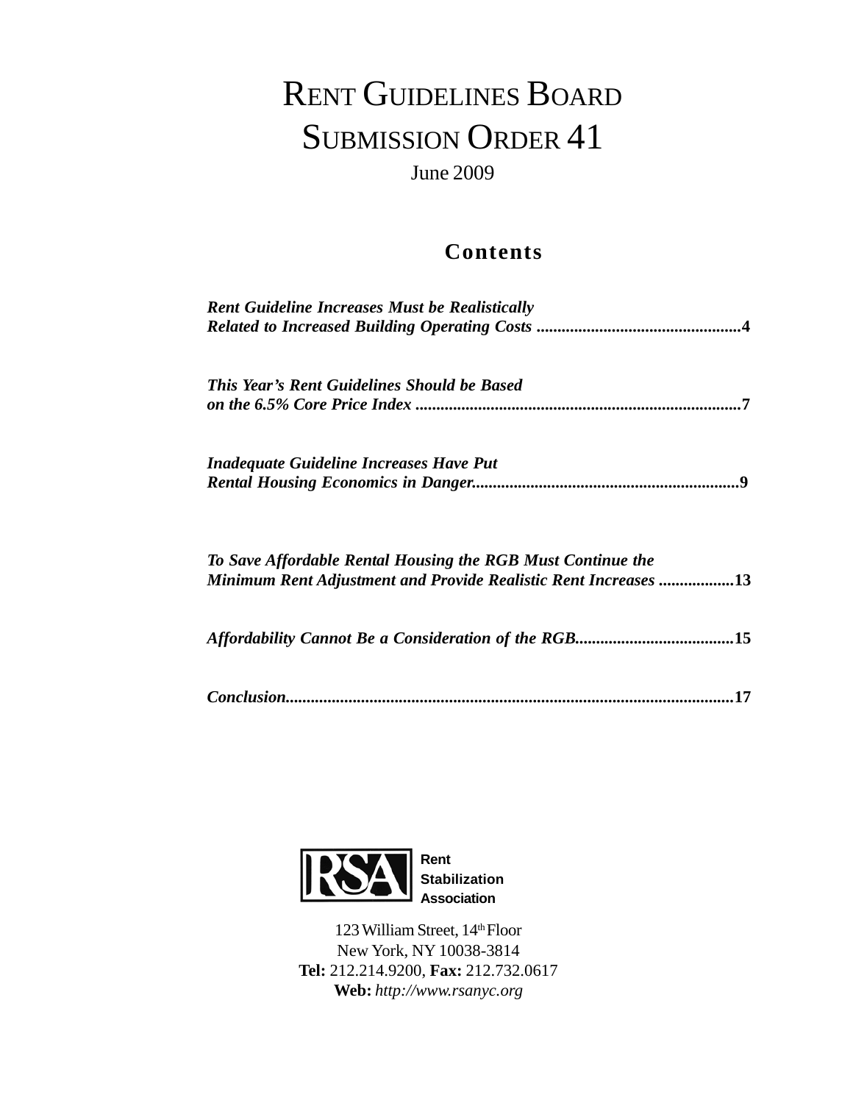## RENT GUIDELINES BOARD SUBMISSION ORDER 41

June 2009

### **Contents**

| <b>Rent Guideline Increases Must be Realistically</b>                                                                          |  |
|--------------------------------------------------------------------------------------------------------------------------------|--|
| This Year's Rent Guidelines Should be Based                                                                                    |  |
| <i>Inadequate Guideline Increases Have Put</i>                                                                                 |  |
| To Save Affordable Rental Housing the RGB Must Continue the<br>Minimum Rent Adjustment and Provide Realistic Rent Increases 13 |  |
|                                                                                                                                |  |
| 17                                                                                                                             |  |



123 William Street, 14<sup>th</sup> Floor New York, NY 10038-3814 **Tel:** 212.214.9200, **Fax:** 212.732.0617 **Web:** *http://www.rsanyc.org*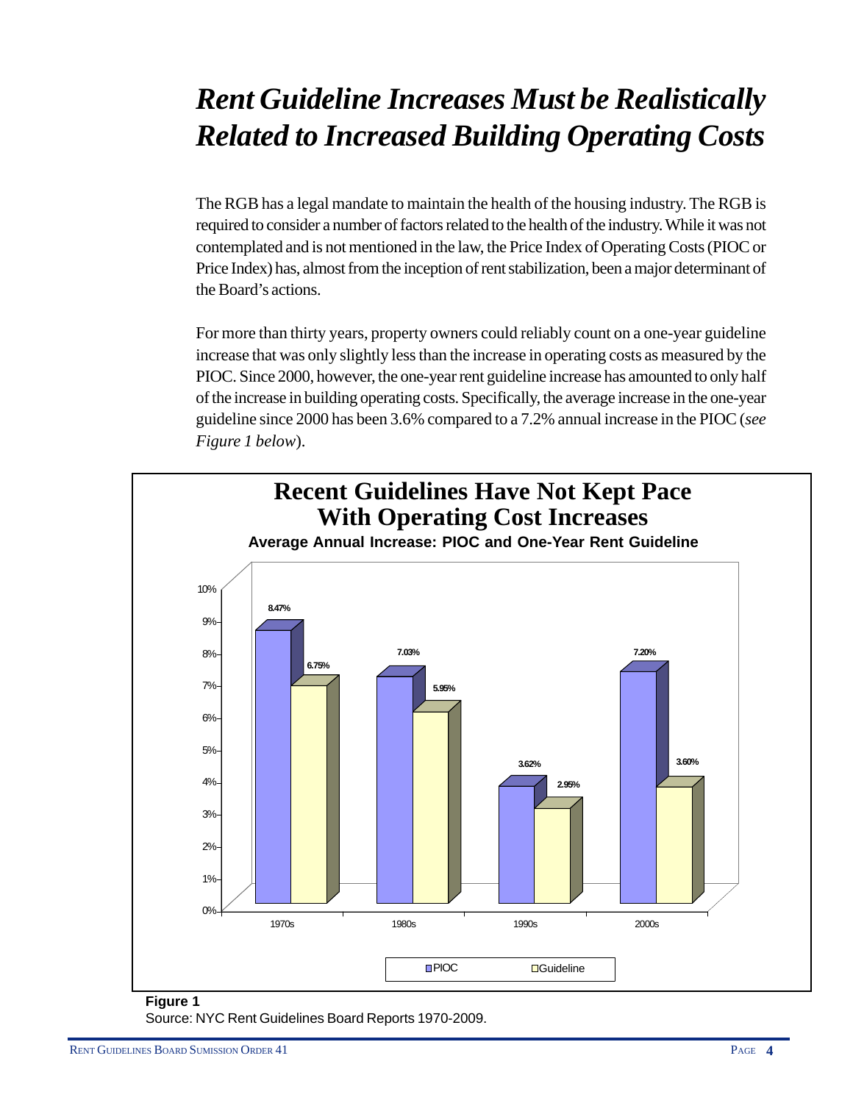## *Rent Guideline Increases Must be Realistically Related to Increased Building Operating Costs*

The RGB has a legal mandate to maintain the health of the housing industry. The RGB is required to consider a number of factors related to the health of the industry. While it was not contemplated and is not mentioned in the law, the Price Index of Operating Costs (PIOC or Price Index) has, almost from the inception of rent stabilization, been a major determinant of the Board's actions.

For more than thirty years, property owners could reliably count on a one-year guideline increase that was only slightly less than the increase in operating costs as measured by the PIOC. Since 2000, however, the one-year rent guideline increase has amounted to only half of the increase in building operating costs. Specifically, the average increase in the one-year guideline since 2000 has been 3.6% compared to a 7.2% annual increase in the PIOC (*see Figure 1 below*).



#### **Figure 1** Source: NYC Rent Guidelines Board Reports 1970-2009.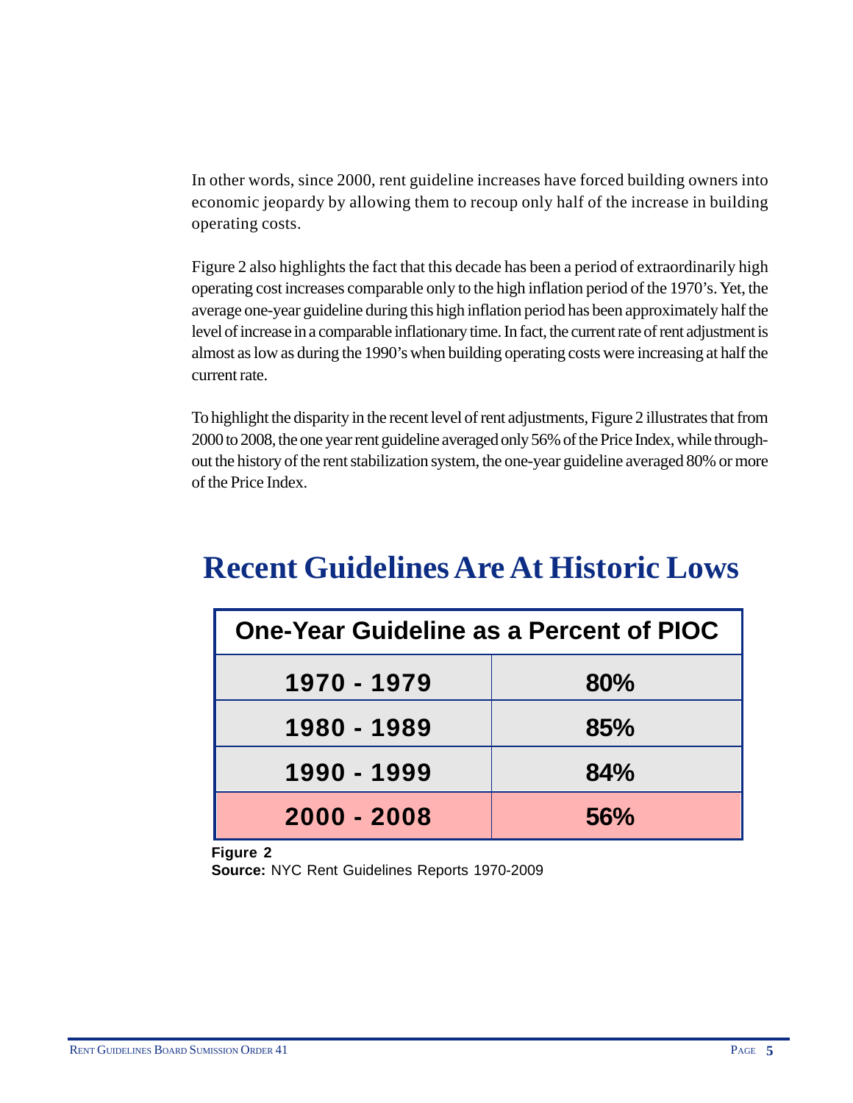In other words, since 2000, rent guideline increases have forced building owners into economic jeopardy by allowing them to recoup only half of the increase in building operating costs.

Figure 2 also highlights the fact that this decade has been a period of extraordinarily high operating cost increases comparable only to the high inflation period of the 1970's. Yet, the average one-year guideline during this high inflation period has been approximately half the level of increase in a comparable inflationary time. In fact, the current rate of rent adjustment is almost as low as during the 1990's when building operating costs were increasing at half the current rate.

To highlight the disparity in the recent level of rent adjustments, Figure 2 illustrates that from 2000 to 2008, the one year rent guideline averaged only 56% of the Price Index, while throughout the history of the rent stabilization system, the one-year guideline averaged 80% or more of the Price Index.

### **Recent Guidelines Are At Historic Lows**

| One-Year Guideline as a Percent of PIOC |     |  |
|-----------------------------------------|-----|--|
| 1970 - 1979                             | 80% |  |
| 1980 - 1989                             | 85% |  |
| 1990 - 1999                             | 84% |  |
| $2000 - 2008$                           | 56% |  |

**Figure 2 Source:** NYC Rent Guidelines Reports 1970-2009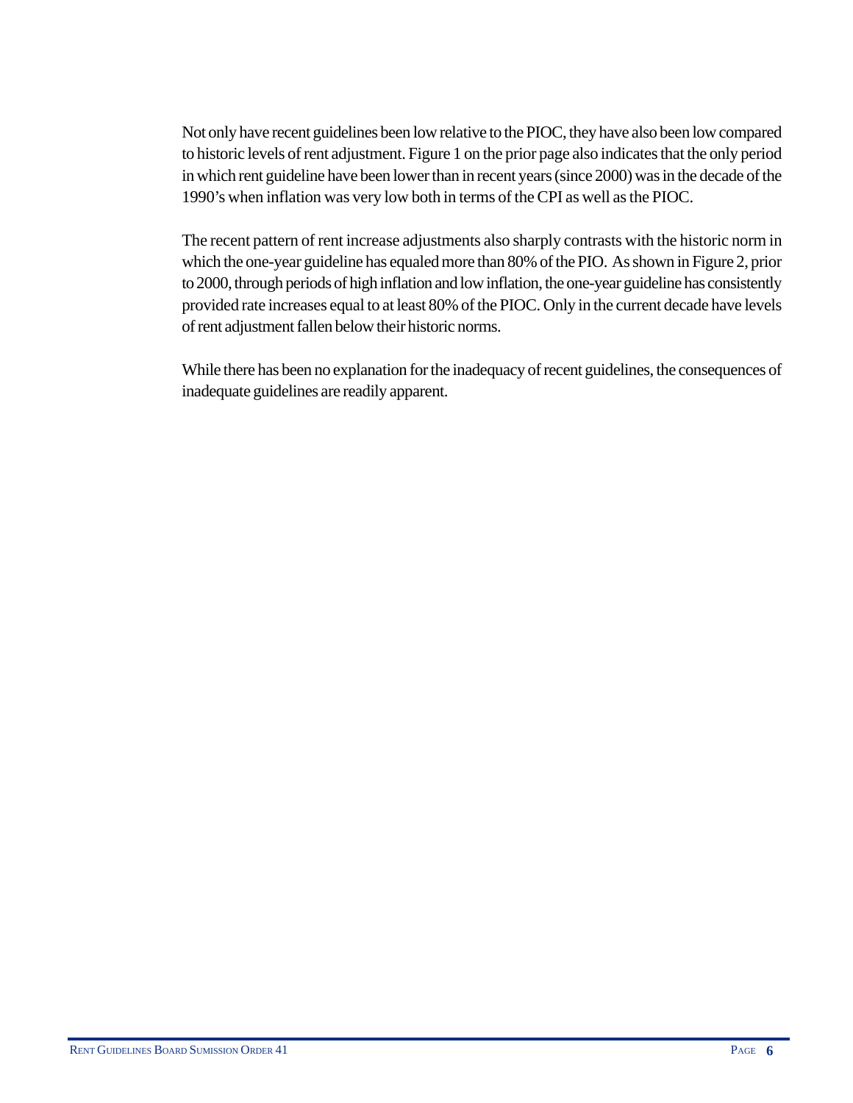Not only have recent guidelines been low relative to the PIOC, they have also been low compared to historic levels of rent adjustment. Figure 1 on the prior page also indicates that the only period in which rent guideline have been lower than in recent years (since 2000) was in the decade of the 1990's when inflation was very low both in terms of the CPI as well as the PIOC.

The recent pattern of rent increase adjustments also sharply contrasts with the historic norm in which the one-year guideline has equaled more than 80% of the PIO. As shown in Figure 2, prior to 2000, through periods of high inflation and low inflation, the one-year guideline has consistently provided rate increases equal to at least 80% of the PIOC. Only in the current decade have levels of rent adjustment fallen below their historic norms.

While there has been no explanation for the inadequacy of recent guidelines, the consequences of inadequate guidelines are readily apparent.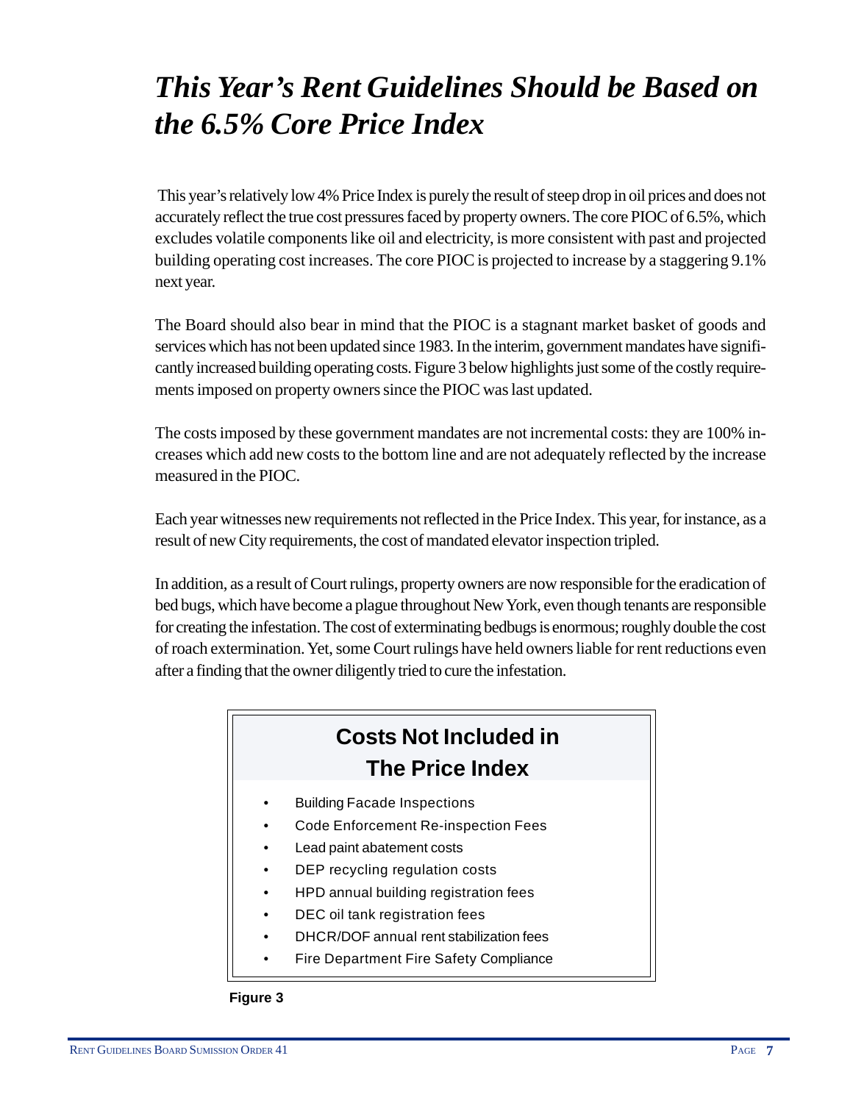## *This Year's Rent Guidelines Should be Based on the 6.5% Core Price Index*

 This year's relatively low 4% Price Index is purely the result of steep drop in oil prices and does not accurately reflect the true cost pressures faced by property owners. The core PIOC of 6.5%, which excludes volatile components like oil and electricity, is more consistent with past and projected building operating cost increases. The core PIOC is projected to increase by a staggering 9.1% next year.

The Board should also bear in mind that the PIOC is a stagnant market basket of goods and services which has not been updated since 1983. In the interim, government mandates have significantly increased building operating costs. Figure 3 below highlights just some of the costly requirements imposed on property owners since the PIOC was last updated.

The costs imposed by these government mandates are not incremental costs: they are 100% increases which add new costs to the bottom line and are not adequately reflected by the increase measured in the PIOC.

Each year witnesses new requirements not reflected in the Price Index. This year, for instance, as a result of new City requirements, the cost of mandated elevator inspection tripled.

In addition, as a result of Court rulings, property owners are now responsible for the eradication of bed bugs, which have become a plague throughout New York, even though tenants are responsible for creating the infestation. The cost of exterminating bedbugs is enormous; roughly double the cost of roach extermination. Yet, some Court rulings have held owners liable for rent reductions even after a finding that the owner diligently tried to cure the infestation.

### **Costs Not Included in The Price Index**

- Building Facade Inspections
- Code Enforcement Re-inspection Fees
- Lead paint abatement costs
- DEP recycling regulation costs
- HPD annual building registration fees
- DEC oil tank registration fees
- DHCR/DOF annual rent stabilization fees
- Fire Department Fire Safety Compliance

#### **Figure 3**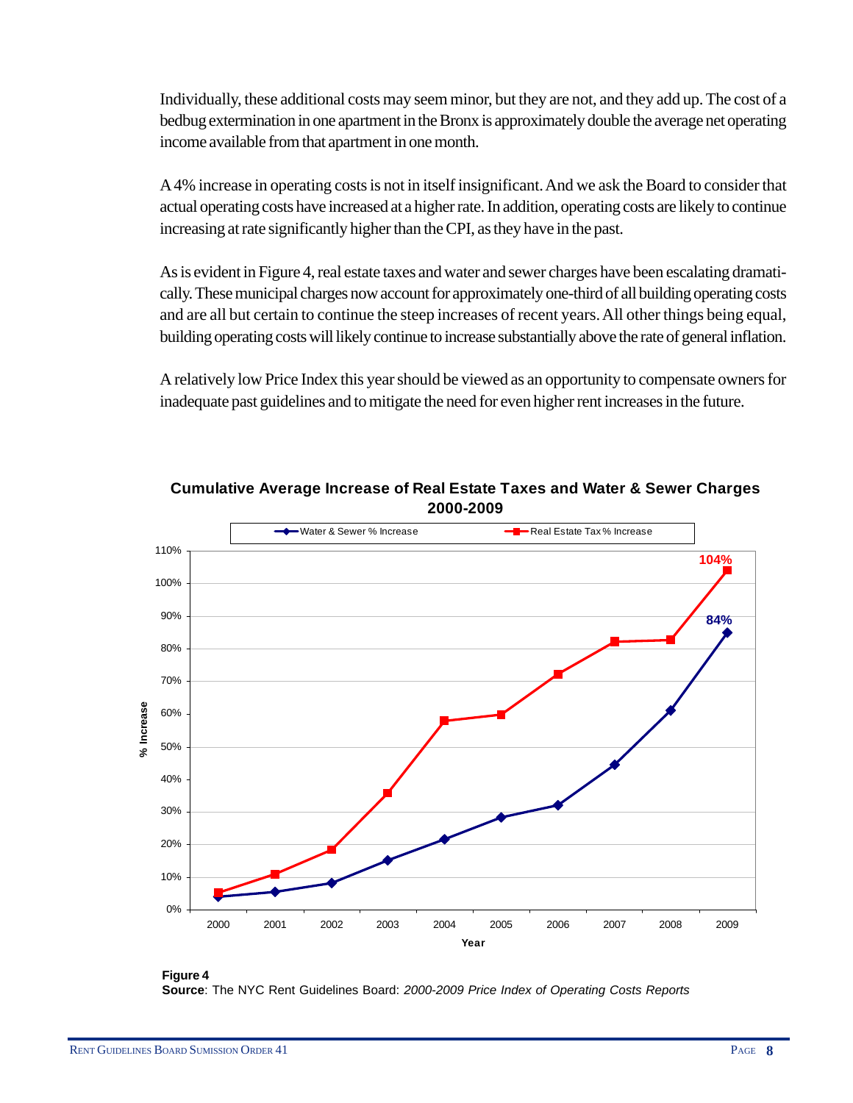Individually, these additional costs may seem minor, but they are not, and they add up. The cost of a bedbug extermination in one apartment in the Bronx is approximately double the average net operating income available from that apartment in one month.

A 4% increase in operating costs is not in itself insignificant. And we ask the Board to consider that actual operating costs have increased at a higher rate. In addition, operating costs are likely to continue increasing at rate significantly higher than the CPI, as they have in the past.

As is evident in Figure 4, real estate taxes and water and sewer charges have been escalating dramatically. These municipal charges now account for approximately one-third of all building operating costs and are all but certain to continue the steep increases of recent years. All other things being equal, building operating costs will likely continue to increase substantially above the rate of general inflation.

A relatively low Price Index this year should be viewed as an opportunity to compensate owners for inadequate past guidelines and to mitigate the need for even higher rent increases in the future.



**Cumulative Average Increase of Real Estate Taxes and Water & Sewer Charges 2000-2009** 

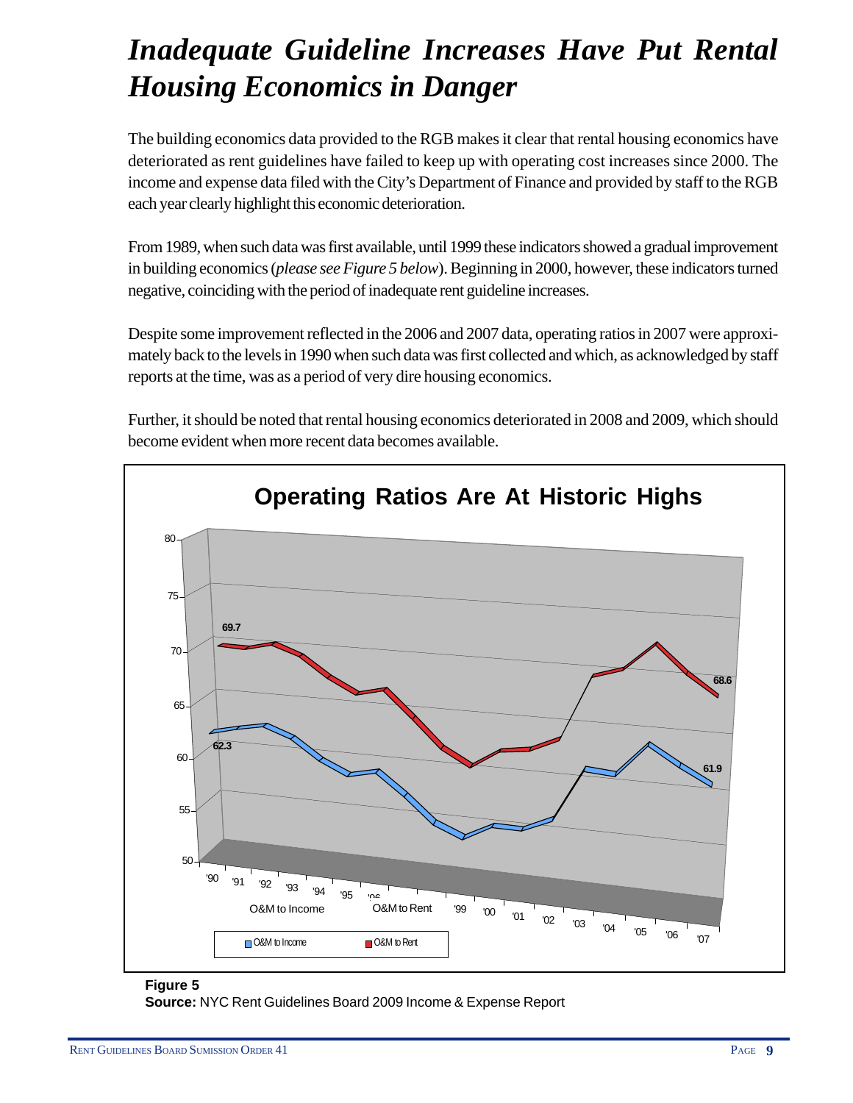## *Inadequate Guideline Increases Have Put Rental Housing Economics in Danger*

The building economics data provided to the RGB makes it clear that rental housing economics have deteriorated as rent guidelines have failed to keep up with operating cost increases since 2000. The income and expense data filed with the City's Department of Finance and provided by staff to the RGB each year clearly highlight this economic deterioration.

From 1989, when such data was first available, until 1999 these indicators showed a gradual improvement in building economics (*please see Figure 5 below*). Beginning in 2000, however, these indicators turned negative, coinciding with the period of inadequate rent guideline increases.

Despite some improvement reflected in the 2006 and 2007 data, operating ratios in 2007 were approximately back to the levels in 1990 when such data was first collected and which, as acknowledged by staff reports at the time, was as a period of very dire housing economics.





#### **Figure 5**

**Source:** NYC Rent Guidelines Board 2009 Income & Expense Report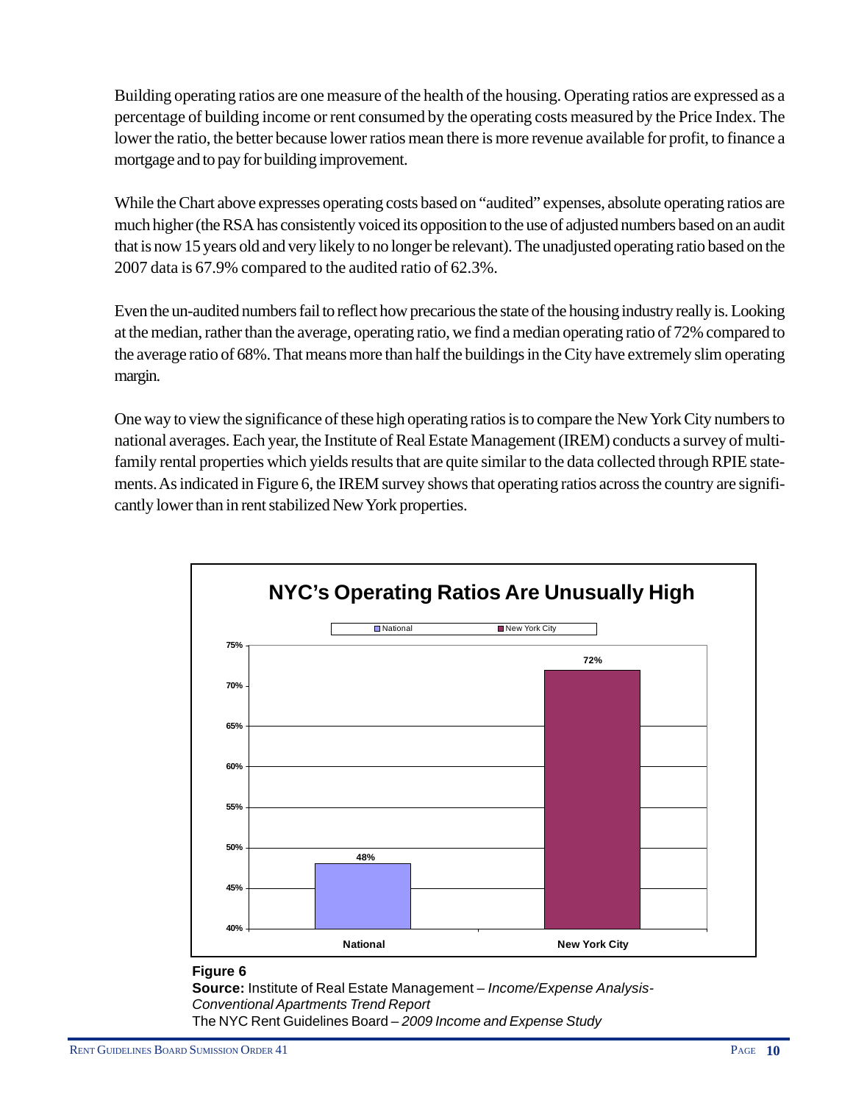Building operating ratios are one measure of the health of the housing. Operating ratios are expressed as a percentage of building income or rent consumed by the operating costs measured by the Price Index. The lower the ratio, the better because lower ratios mean there is more revenue available for profit, to finance a mortgage and to pay for building improvement.

While the Chart above expresses operating costs based on "audited" expenses, absolute operating ratios are much higher (the RSA has consistently voiced its opposition to the use of adjusted numbers based on an audit that is now 15 years old and very likely to no longer be relevant). The unadjusted operating ratio based on the 2007 data is 67.9% compared to the audited ratio of 62.3%.

Even the un-audited numbers fail to reflect how precarious the state of the housing industry really is. Looking at the median, rather than the average, operating ratio, we find a median operating ratio of 72% compared to the average ratio of 68%. That means more than half the buildings in the City have extremely slim operating margin.

One way to view the significance of these high operating ratios is to compare the New York City numbers to national averages. Each year, the Institute of Real Estate Management (IREM) conducts a survey of multifamily rental properties which yields results that are quite similar to the data collected through RPIE statements. As indicated in Figure 6, the IREM survey shows that operating ratios across the country are significantly lower than in rent stabilized New York properties.



#### **Figure 6**

**Source:** Institute of Real Estate Management – *Income/Expense Analysis-Conventional Apartments Trend Report* The NYC Rent Guidelines Board – *2009 Income and Expense Study*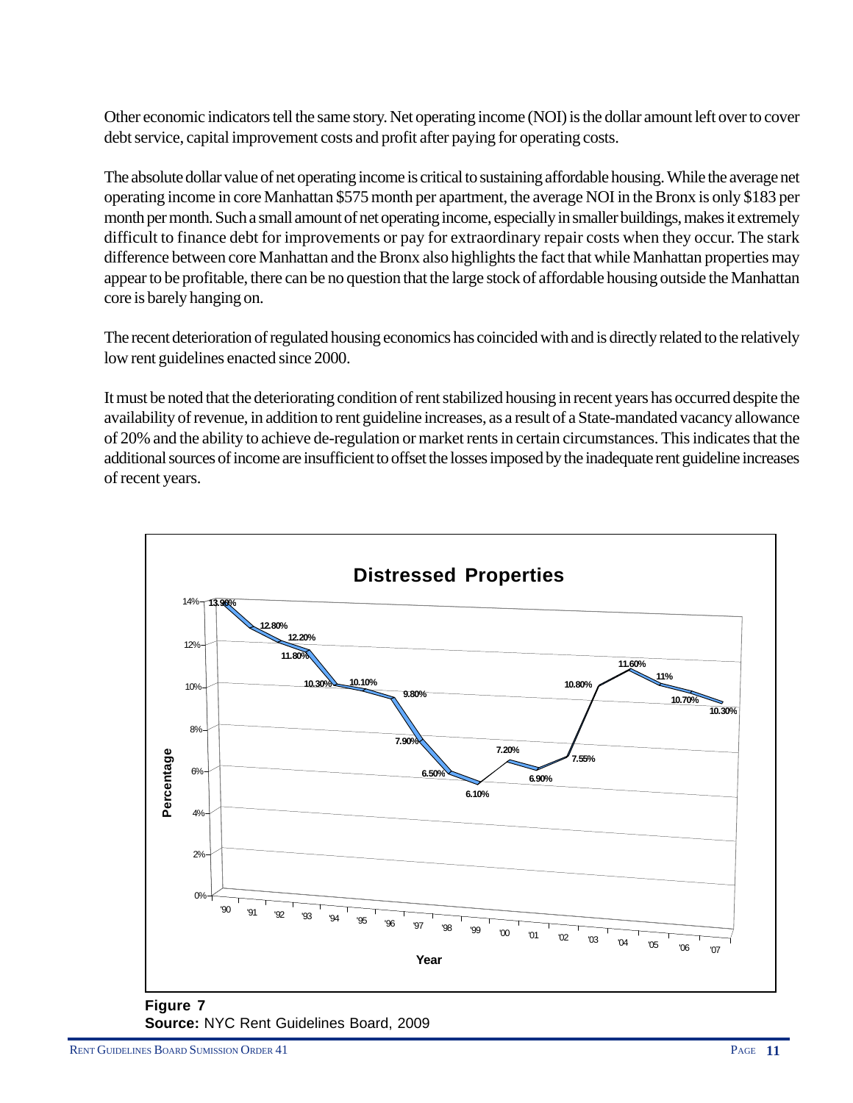Other economic indicators tell the same story. Net operating income (NOI) is the dollar amount left over to cover debt service, capital improvement costs and profit after paying for operating costs.

The absolute dollar value of net operating income is critical to sustaining affordable housing. While the average net operating income in core Manhattan \$575 month per apartment, the average NOI in the Bronx is only \$183 per month per month. Such a small amount of net operating income, especially in smaller buildings, makes it extremely difficult to finance debt for improvements or pay for extraordinary repair costs when they occur. The stark difference between core Manhattan and the Bronx also highlights the fact that while Manhattan properties may appear to be profitable, there can be no question that the large stock of affordable housing outside the Manhattan core is barely hanging on.

The recent deterioration of regulated housing economics has coincided with and is directly related to the relatively low rent guidelines enacted since 2000.

It must be noted that the deteriorating condition of rent stabilized housing in recent years has occurred despite the availability of revenue, in addition to rent guideline increases, as a result of a State-mandated vacancy allowance of 20% and the ability to achieve de-regulation or market rents in certain circumstances. This indicates that the additional sources of income are insufficient to offset the losses imposed by the inadequate rent guideline increases of recent years.

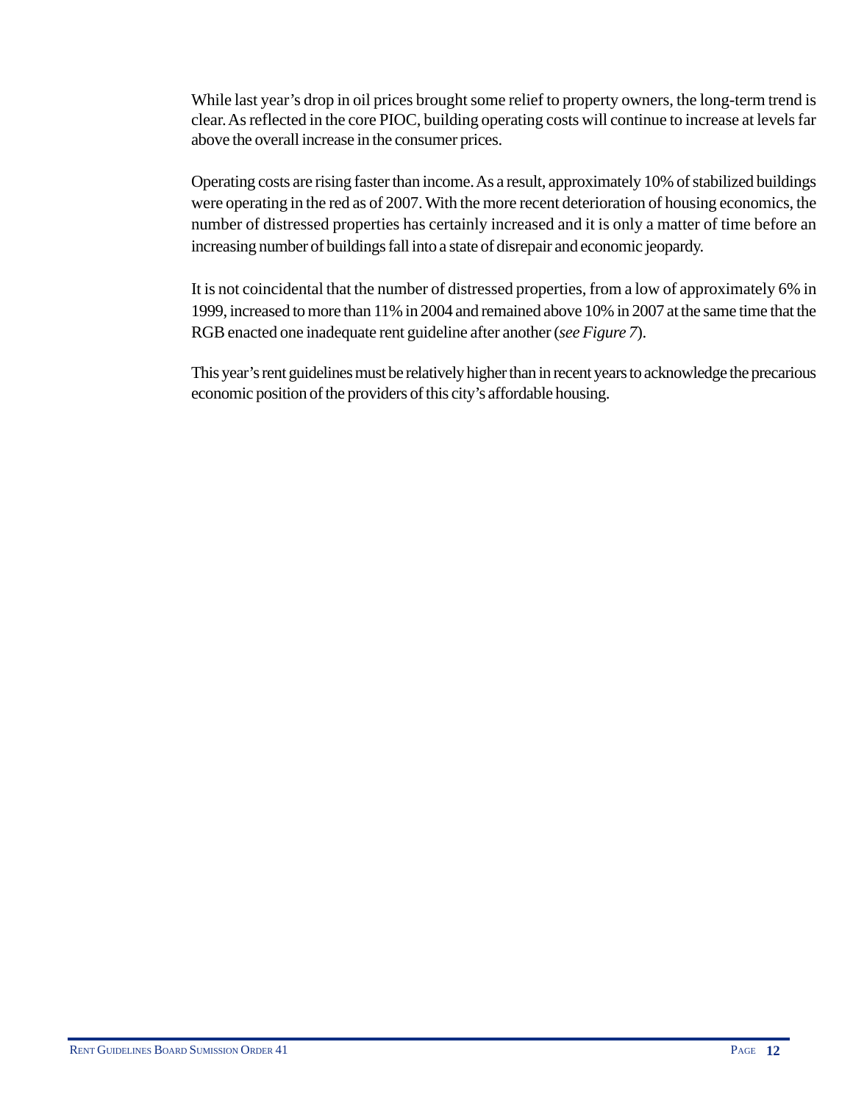While last year's drop in oil prices brought some relief to property owners, the long-term trend is clear. As reflected in the core PIOC, building operating costs will continue to increase at levels far above the overall increase in the consumer prices.

Operating costs are rising faster than income. As a result, approximately 10% of stabilized buildings were operating in the red as of 2007. With the more recent deterioration of housing economics, the number of distressed properties has certainly increased and it is only a matter of time before an increasing number of buildings fall into a state of disrepair and economic jeopardy.

It is not coincidental that the number of distressed properties, from a low of approximately 6% in 1999, increased to more than 11% in 2004 and remained above 10% in 2007 at the same time that the RGB enacted one inadequate rent guideline after another (*see Figure 7*).

This year's rent guidelines must be relatively higher than in recent years to acknowledge the precarious economic position of the providers of this city's affordable housing.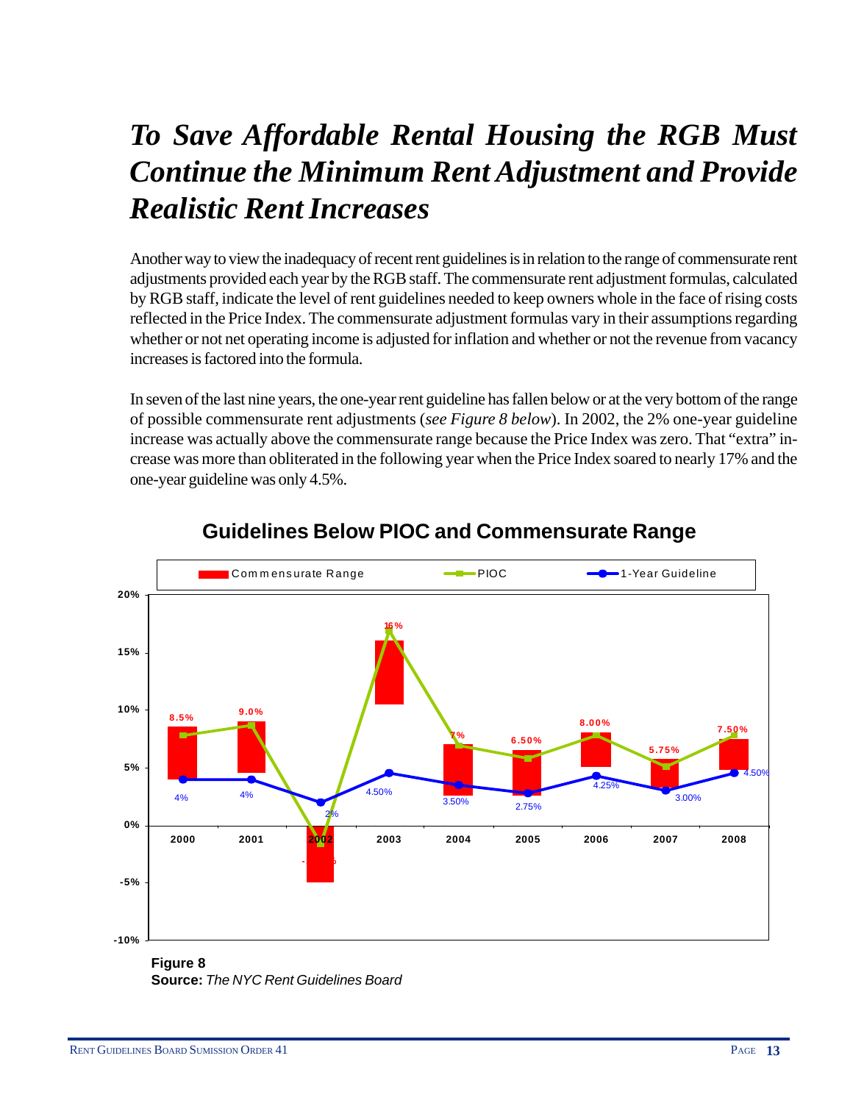## *To Save Affordable Rental Housing the RGB Must Continue the Minimum Rent Adjustment and Provide Realistic Rent Increases*

Another way to view the inadequacy of recent rent guidelines is in relation to the range of commensurate rent adjustments provided each year by the RGB staff. The commensurate rent adjustment formulas, calculated by RGB staff, indicate the level of rent guidelines needed to keep owners whole in the face of rising costs reflected in the Price Index. The commensurate adjustment formulas vary in their assumptions regarding whether or not net operating income is adjusted for inflation and whether or not the revenue from vacancy increases is factored into the formula.

In seven of the last nine years, the one-year rent guideline has fallen below or at the very bottom of the range of possible commensurate rent adjustments (*see Figure 8 below*). In 2002, the 2% one-year guideline increase was actually above the commensurate range because the Price Index was zero. That "extra" increase was more than obliterated in the following year when the Price Index soared to nearly 17% and the one-year guideline was only 4.5%.



### **Guidelines Below PIOC and Commensurate Range**

**Figure 8 Source:** *The NYC Rent Guidelines Board*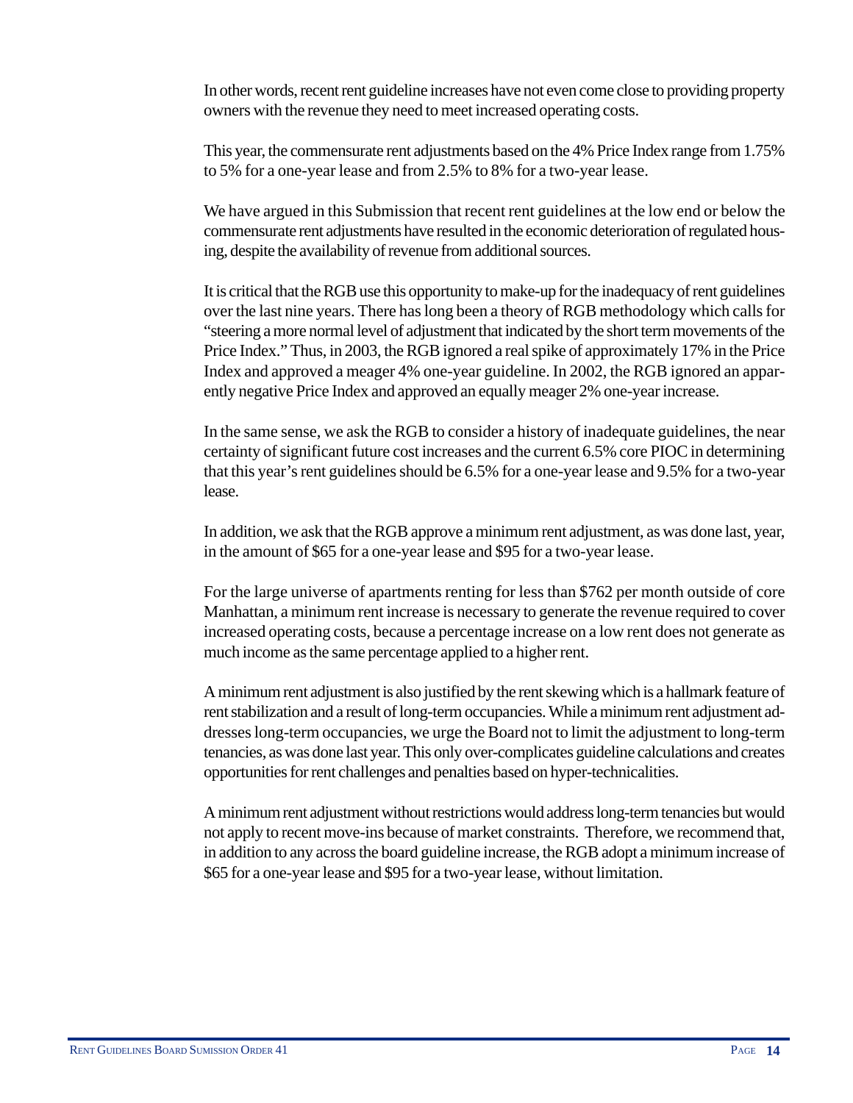In other words, recent rent guideline increases have not even come close to providing property owners with the revenue they need to meet increased operating costs.

This year, the commensurate rent adjustments based on the 4% Price Index range from 1.75% to 5% for a one-year lease and from 2.5% to 8% for a two-year lease.

We have argued in this Submission that recent rent guidelines at the low end or below the commensurate rent adjustments have resulted in the economic deterioration of regulated housing, despite the availability of revenue from additional sources.

It is critical that the RGB use this opportunity to make-up for the inadequacy of rent guidelines over the last nine years. There has long been a theory of RGB methodology which calls for "steering a more normal level of adjustment that indicated by the short term movements of the Price Index." Thus, in 2003, the RGB ignored a real spike of approximately 17% in the Price Index and approved a meager 4% one-year guideline. In 2002, the RGB ignored an apparently negative Price Index and approved an equally meager 2% one-year increase.

In the same sense, we ask the RGB to consider a history of inadequate guidelines, the near certainty of significant future cost increases and the current 6.5% core PIOC in determining that this year's rent guidelines should be 6.5% for a one-year lease and 9.5% for a two-year lease.

In addition, we ask that the RGB approve a minimum rent adjustment, as was done last, year, in the amount of \$65 for a one-year lease and \$95 for a two-year lease.

For the large universe of apartments renting for less than \$762 per month outside of core Manhattan, a minimum rent increase is necessary to generate the revenue required to cover increased operating costs, because a percentage increase on a low rent does not generate as much income as the same percentage applied to a higher rent.

A minimum rent adjustment is also justified by the rent skewing which is a hallmark feature of rent stabilization and a result of long-term occupancies. While a minimum rent adjustment addresses long-term occupancies, we urge the Board not to limit the adjustment to long-term tenancies, as was done last year. This only over-complicates guideline calculations and creates opportunities for rent challenges and penalties based on hyper-technicalities.

A minimum rent adjustment without restrictions would address long-term tenancies but would not apply to recent move-ins because of market constraints. Therefore, we recommend that, in addition to any across the board guideline increase, the RGB adopt a minimum increase of \$65 for a one-year lease and \$95 for a two-year lease, without limitation.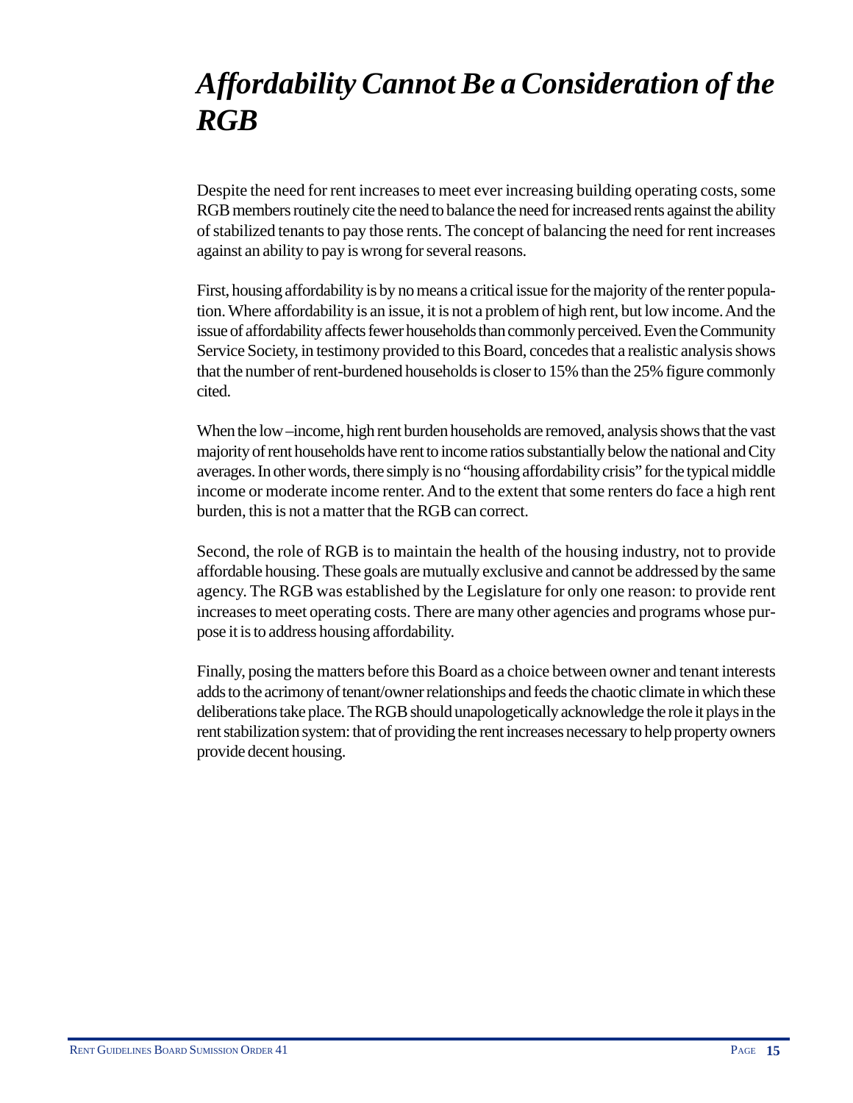### *Affordability Cannot Be a Consideration of the RGB*

Despite the need for rent increases to meet ever increasing building operating costs, some RGB members routinely cite the need to balance the need for increased rents against the ability of stabilized tenants to pay those rents. The concept of balancing the need for rent increases against an ability to pay is wrong for several reasons.

First, housing affordability is by no means a critical issue for the majority of the renter population. Where affordability is an issue, it is not a problem of high rent, but low income. And the issue of affordability affects fewer households than commonly perceived. Even the Community Service Society, in testimony provided to this Board, concedes that a realistic analysis shows that the number of rent-burdened households is closer to 15% than the 25% figure commonly cited.

When the low –income, high rent burden households are removed, analysis shows that the vast majority of rent households have rent to income ratios substantially below the national and City averages. In other words, there simply is no "housing affordability crisis" for the typical middle income or moderate income renter. And to the extent that some renters do face a high rent burden, this is not a matter that the RGB can correct.

Second, the role of RGB is to maintain the health of the housing industry, not to provide affordable housing. These goals are mutually exclusive and cannot be addressed by the same agency. The RGB was established by the Legislature for only one reason: to provide rent increases to meet operating costs. There are many other agencies and programs whose purpose it is to address housing affordability.

Finally, posing the matters before this Board as a choice between owner and tenant interests adds to the acrimony of tenant/owner relationships and feeds the chaotic climate in which these deliberations take place. The RGB should unapologetically acknowledge the role it plays in the rent stabilization system: that of providing the rent increases necessary to help property owners provide decent housing.